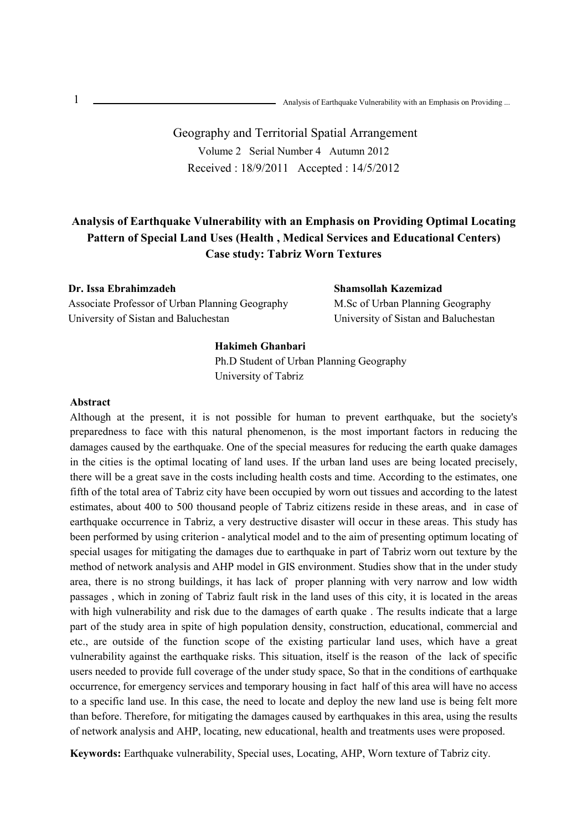# Geography and Territorial Spatial Arrangement Volume 2 Serial Number 4 Autumn 2012 Received : 18/9/2011 Accepted : 14/5/2012

# **Analysis of Earthquake Vulnerability with an Emphasis on Providing Optimal Locating Pattern of Special Land Uses (Health , Medical Services and Educational Centers) Case study: Tabriz Worn Textures**

**Dr. Issa Ebrahimzadeh**  Associate Professor of Urban Planning Geography University of Sistan and Baluchestan

## **Shamsollah Kazemizad**  M.Sc of Urban Planning Geography

University of Sistan and Baluchestan

### **Hakimeh Ghanbari**

Ph.D Student of Urban Planning Geography University of Tabriz

### **Abstract**

Although at the present, it is not possible for human to prevent earthquake, but the society's preparedness to face with this natural phenomenon, is the most important factors in reducing the damages caused by the earthquake. One of the special measures for reducing the earth quake damages in the cities is the optimal locating of land uses. If the urban land uses are being located precisely, there will be a great save in the costs including health costs and time. According to the estimates, one fifth of the total area of Tabriz city have been occupied by worn out tissues and according to the latest estimates, about 400 to 500 thousand people of Tabriz citizens reside in these areas, and in case of earthquake occurrence in Tabriz, a very destructive disaster will occur in these areas. This study has been performed by using criterion - analytical model and to the aim of presenting optimum locating of special usages for mitigating the damages due to earthquake in part of Tabriz worn out texture by the method of network analysis and AHP model in GIS environment. Studies show that in the under study area, there is no strong buildings, it has lack of proper planning with very narrow and low width passages , which in zoning of Tabriz fault risk in the land uses of this city, it is located in the areas with high vulnerability and risk due to the damages of earth quake . The results indicate that a large part of the study area in spite of high population density, construction, educational, commercial and etc., are outside of the function scope of the existing particular land uses, which have a great vulnerability against the earthquake risks. This situation, itself is the reason of the lack of specific users needed to provide full coverage of the under study space, So that in the conditions of earthquake occurrence, for emergency services and temporary housing in fact half of this area will have no access to a specific land use. In this case, the need to locate and deploy the new land use is being felt more than before. Therefore, for mitigating the damages caused by earthquakes in this area, using the results of network analysis and AHP, locating, new educational, health and treatments uses were proposed.

**Keywords:** Earthquake vulnerability, Special uses, Locating, AHP, Worn texture of Tabriz city.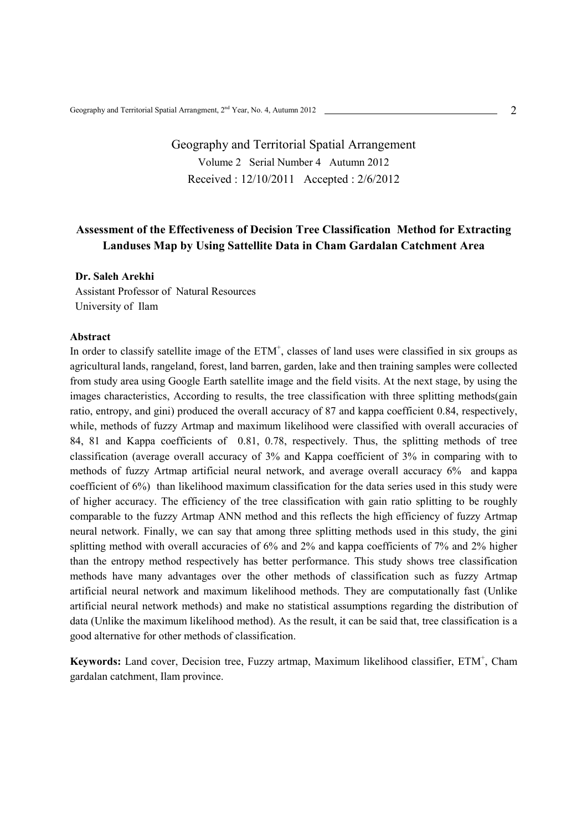# Geography and Territorial Spatial Arrangement Volume 2 Serial Number 4 Autumn 2012 Received : 12/10/2011 Accepted : 2/6/2012

## **Assessment of the Effectiveness of Decision Tree Classification Method for Extracting Landuses Map by Using Sattellite Data in Cham Gardalan Catchment Area**

## **Dr. Saleh Arekhi**

Assistant Professor of Natural Resources University of Ilam

### **Abstract**

In order to classify satellite image of the ETM<sup>+</sup>, classes of land uses were classified in six groups as agricultural lands, rangeland, forest, land barren, garden, lake and then training samples were collected from study area using Google Earth satellite image and the field visits. At the next stage, by using the images characteristics, According to results, the tree classification with three splitting methods(gain ratio, entropy, and gini) produced the overall accuracy of 87 and kappa coefficient 0.84, respectively, while, methods of fuzzy Artmap and maximum likelihood were classified with overall accuracies of 84, 81 and Kappa coefficients of 0.81, 0.78, respectively. Thus, the splitting methods of tree classification (average overall accuracy of 3% and Kappa coefficient of 3% in comparing with to methods of fuzzy Artmap artificial neural network, and average overall accuracy 6% and kappa coefficient of 6%) than likelihood maximum classification for the data series used in this study were of higher accuracy. The efficiency of the tree classification with gain ratio splitting to be roughly comparable to the fuzzy Artmap ANN method and this reflects the high efficiency of fuzzy Artmap neural network. Finally, we can say that among three splitting methods used in this study, the gini splitting method with overall accuracies of 6% and 2% and kappa coefficients of 7% and 2% higher than the entropy method respectively has better performance. This study shows tree classification methods have many advantages over the other methods of classification such as fuzzy Artmap artificial neural network and maximum likelihood methods. They are computationally fast (Unlike artificial neural network methods) and make no statistical assumptions regarding the distribution of data (Unlike the maximum likelihood method). As the result, it can be said that, tree classification is a good alternative for other methods of classification.

Keywords: Land cover, Decision tree, Fuzzy artmap, Maximum likelihood classifier, ETM<sup>+</sup>, Cham gardalan catchment, Ilam province.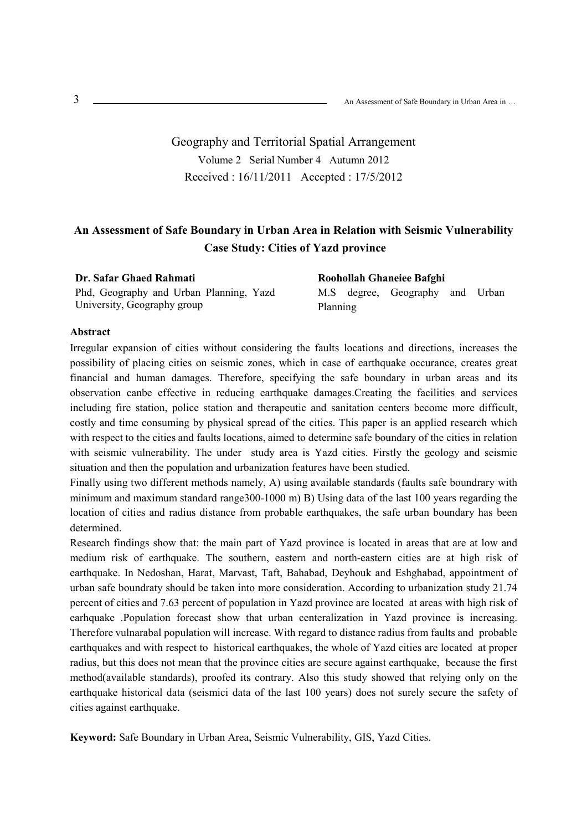Geography and Territorial Spatial Arrangement Volume 2 Serial Number 4 Autumn 2012 Received : 16/11/2011 Accepted : 17/5/2012

## **An Assessment of Safe Boundary in Urban Area in Relation with Seismic Vulnerability Case Study: Cities of Yazd province**

**Dr. Safar Ghaed Rahmati** Phd, Geography and Urban Planning, Yazd University, Geography group

**Roohollah Ghaneiee Bafghi**  M.S degree, Geography and Urban Planning

### **Abstract**

Irregular expansion of cities without considering the faults locations and directions, increases the possibility of placing cities on seismic zones, which in case of earthquake occurance, creates great financial and human damages. Therefore, specifying the safe boundary in urban areas and its observation canbe effective in reducing earthquake damages.Creating the facilities and services including fire station, police station and therapeutic and sanitation centers become more difficult, costly and time consuming by physical spread of the cities. This paper is an applied research which with respect to the cities and faults locations, aimed to determine safe boundary of the cities in relation with seismic vulnerability. The under study area is Yazd cities. Firstly the geology and seismic situation and then the population and urbanization features have been studied.

Finally using two different methods namely, A) using available standards (faults safe boundrary with minimum and maximum standard range300-1000 m) B) Using data of the last 100 years regarding the location of cities and radius distance from probable earthquakes, the safe urban boundary has been determined.

Research findings show that: the main part of Yazd province is located in areas that are at low and medium risk of earthquake. The southern, eastern and north-eastern cities are at high risk of earthquake. In Nedoshan, Harat, Marvast, Taft, Bahabad, Deyhouk and Eshghabad, appointment of urban safe boundraty should be taken into more consideration. According to urbanization study 21.74 percent of cities and 7.63 percent of population in Yazd province are located at areas with high risk of earhquake .Population forecast show that urban centeralization in Yazd province is increasing. Therefore vulnarabal population will increase. With regard to distance radius from faults and probable earthquakes and with respect to historical earthquakes, the whole of Yazd cities are located at proper radius, but this does not mean that the province cities are secure against earthquake, because the first method(available standards), proofed its contrary. Also this study showed that relying only on the earthquake historical data (seismici data of the last 100 years) does not surely secure the safety of cities against earthquake.

**Keyword:** Safe Boundary in Urban Area, Seismic Vulnerability, GIS, Yazd Cities.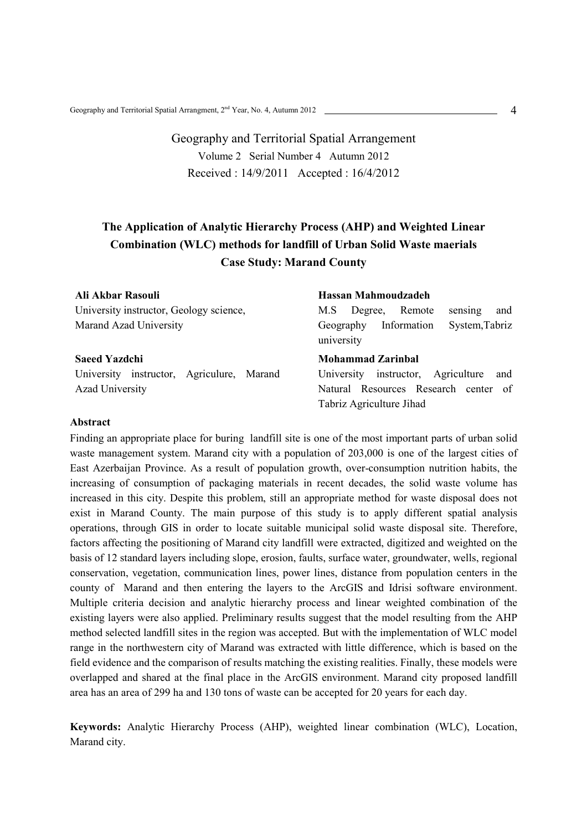Geography and Territorial Spatial Arrangement Volume 2 Serial Number 4 Autumn 2012 Received : 14/9/2011 Accepted : 16/4/2012

# **The Application of Analytic Hierarchy Process (AHP) and Weighted Linear Combination (WLC) methods for landfill of Urban Solid Waste maerials Case Study: Marand County**

| Ali Akbar Rasouli                         | Hassan Mahmoudzadeh                                      |
|-------------------------------------------|----------------------------------------------------------|
| University instructor, Geology science,   | and<br>Remote<br>Degree,<br>sensing<br>M.S               |
| Marand Azad University                    | System, Tabriz<br>Information<br>Geography<br>university |
| <b>Saeed Yazdchi</b>                      | <b>Mohammad Zarinbal</b>                                 |
| University instructor, Agriculure, Marand | University instructor, Agriculture<br>and                |
| <b>Azad University</b>                    | Natural Resources Research center of                     |
|                                           | Tabriz Agriculture Jihad                                 |

### **Abstract**

Finding an appropriate place for buring landfill site is one of the most important parts of urban solid waste management system. Marand city with a population of 203,000 is one of the largest cities of East Azerbaijan Province. As a result of population growth, over-consumption nutrition habits, the increasing of consumption of packaging materials in recent decades, the solid waste volume has increased in this city. Despite this problem, still an appropriate method for waste disposal does not exist in Marand County. The main purpose of this study is to apply different spatial analysis operations, through GIS in order to locate suitable municipal solid waste disposal site. Therefore, factors affecting the positioning of Marand city landfill were extracted, digitized and weighted on the basis of 12 standard layers including slope, erosion, faults, surface water, groundwater, wells, regional conservation, vegetation, communication lines, power lines, distance from population centers in the county of Marand and then entering the layers to the ArcGIS and Idrisi software environment. Multiple criteria decision and analytic hierarchy process and linear weighted combination of the existing layers were also applied. Preliminary results suggest that the model resulting from the AHP method selected landfill sites in the region was accepted. But with the implementation of WLC model range in the northwestern city of Marand was extracted with little difference, which is based on the field evidence and the comparison of results matching the existing realities. Finally, these models were overlapped and shared at the final place in the ArcGIS environment. Marand city proposed landfill area has an area of 299 ha and 130 tons of waste can be accepted for 20 years for each day.

**Keywords:** Analytic Hierarchy Process (AHP), weighted linear combination (WLC), Location, Marand city.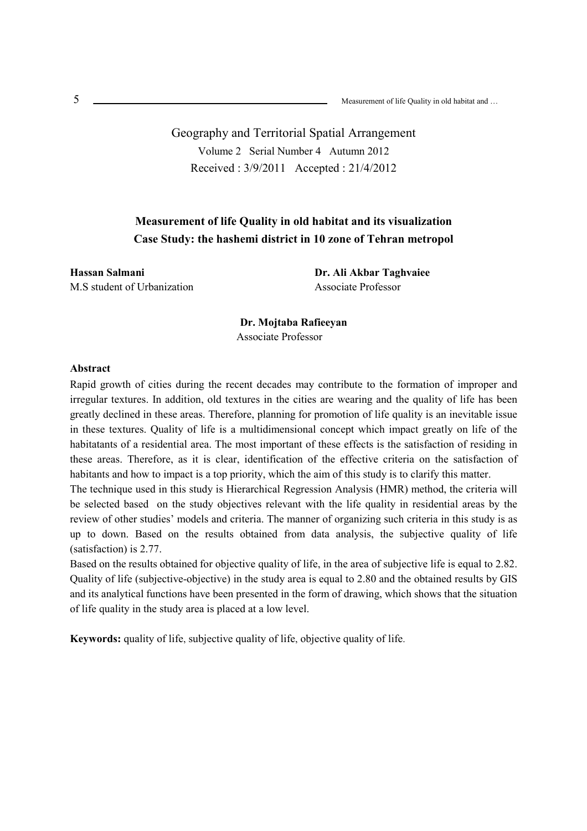Geography and Territorial Spatial Arrangement Volume 2 Serial Number 4 Autumn 2012 Received : 3/9/2011 Accepted : 21/4/2012

## **Measurement of life Quality in old habitat and its visualization Case Study: the hashemi district in 10 zone of Tehran metropol**

**Hassan Salmani**  M.S student of Urbanization **Dr. Ali Akbar Taghvaiee**  Associate Professor

**Dr. Mojtaba Rafieeyan**  Associate Professor

#### **Abstract**

Rapid growth of cities during the recent decades may contribute to the formation of improper and irregular textures. In addition, old textures in the cities are wearing and the quality of life has been greatly declined in these areas. Therefore, planning for promotion of life quality is an inevitable issue in these textures. Quality of life is a multidimensional concept which impact greatly on life of the habitatants of a residential area. The most important of these effects is the satisfaction of residing in these areas. Therefore, as it is clear, identification of the effective criteria on the satisfaction of habitants and how to impact is a top priority, which the aim of this study is to clarify this matter.

The technique used in this study is Hierarchical Regression Analysis (HMR) method, the criteria will be selected based on the study objectives relevant with the life quality in residential areas by the review of other studies' models and criteria. The manner of organizing such criteria in this study is as up to down. Based on the results obtained from data analysis, the subjective quality of life (satisfaction) is 2.77.

Based on the results obtained for objective quality of life, in the area of subjective life is equal to 2.82. Quality of life (subjective-objective) in the study area is equal to 2.80 and the obtained results by GIS and its analytical functions have been presented in the form of drawing, which shows that the situation of life quality in the study area is placed at a low level.

**Keywords:** quality of life, subjective quality of life, objective quality of life.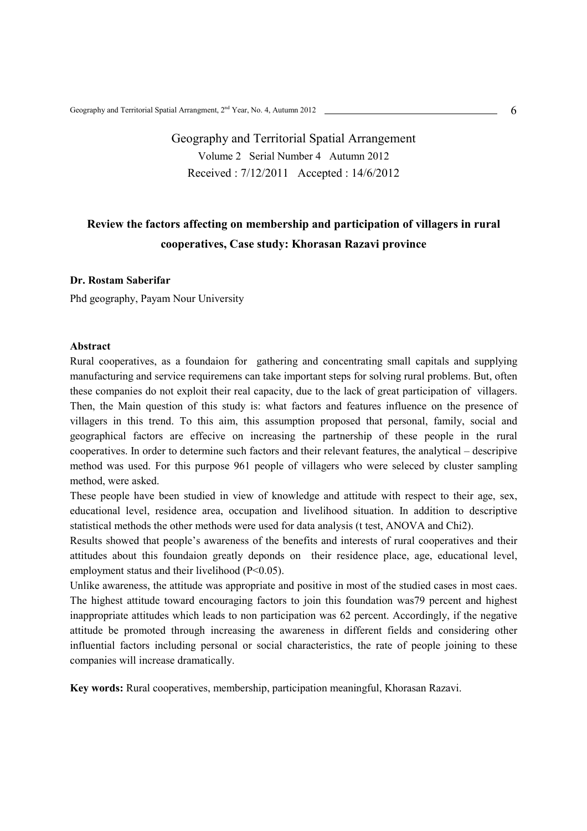# Geography and Territorial Spatial Arrangement Volume 2 Serial Number 4 Autumn 2012 Received : 7/12/2011 Accepted : 14/6/2012

# **Review the factors affecting on membership and participation of villagers in rural cooperatives, Case study: Khorasan Razavi province**

### **Dr. Rostam Saberifar**

Phd geography, Payam Nour University

#### **Abstract**

Rural cooperatives, as a foundaion for gathering and concentrating small capitals and supplying manufacturing and service requiremens can take important steps for solving rural problems. But, often these companies do not exploit their real capacity, due to the lack of great participation of villagers. Then, the Main question of this study is: what factors and features influence on the presence of villagers in this trend. To this aim, this assumption proposed that personal, family, social and geographical factors are effecive on increasing the partnership of these people in the rural cooperatives. In order to determine such factors and their relevant features, the analytical – descripive method was used. For this purpose 961 people of villagers who were seleced by cluster sampling method, were asked.

These people have been studied in view of knowledge and attitude with respect to their age, sex, educational level, residence area, occupation and livelihood situation. In addition to descriptive statistical methods the other methods were used for data analysis (t test, ANOVA and Chi2).

Results showed that people's awareness of the benefits and interests of rural cooperatives and their attitudes about this foundaion greatly deponds on their residence place, age, educational level, employment status and their livelihood (P<0.05).

Unlike awareness, the attitude was appropriate and positive in most of the studied cases in most caes. The highest attitude toward encouraging factors to join this foundation was79 percent and highest inappropriate attitudes which leads to non participation was 62 percent. Accordingly, if the negative attitude be promoted through increasing the awareness in different fields and considering other influential factors including personal or social characteristics, the rate of people joining to these companies will increase dramatically.

**Key words:** Rural cooperatives, membership, participation meaningful, Khorasan Razavi.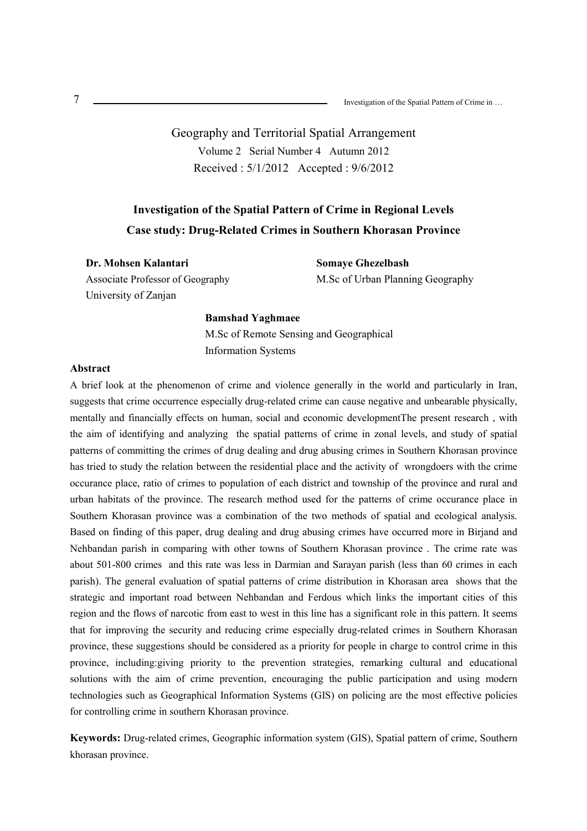Geography and Territorial Spatial Arrangement Volume 2 Serial Number 4 Autumn 2012 Received : 5/1/2012 Accepted : 9/6/2012

# **Investigation of the Spatial Pattern of Crime in Regional Levels Case study: Drug-Related Crimes in Southern Khorasan Province**

**Dr. Mohsen Kalantari**  Associate Professor of Geography University of Zanjan

**Somaye Ghezelbash**  M.Sc of Urban Planning Geography

#### **Bamshad Yaghmaee**

M.Sc of Remote Sensing and Geographical Information Systems

#### **Abstract**

A brief look at the phenomenon of crime and violence generally in the world and particularly in Iran, suggests that crime occurrence especially drug-related crime can cause negative and unbearable physically, mentally and financially effects on human, social and economic developmentThe present research , with the aim of identifying and analyzing the spatial patterns of crime in zonal levels, and study of spatial patterns of committing the crimes of drug dealing and drug abusing crimes in Southern Khorasan province has tried to study the relation between the residential place and the activity of wrongdoers with the crime occurance place, ratio of crimes to population of each district and township of the province and rural and urban habitats of the province. The research method used for the patterns of crime occurance place in Southern Khorasan province was a combination of the two methods of spatial and ecological analysis. Based on finding of this paper, drug dealing and drug abusing crimes have occurred more in Birjand and Nehbandan parish in comparing with other towns of Southern Khorasan province . The crime rate was about 501-800 crimes and this rate was less in Darmian and Sarayan parish (less than 60 crimes in each parish). The general evaluation of spatial patterns of crime distribution in Khorasan area shows that the strategic and important road between Nehbandan and Ferdous which links the important cities of this region and the flows of narcotic from east to west in this line has a significant role in this pattern. It seems that for improving the security and reducing crime especially drug-related crimes in Southern Khorasan province, these suggestions should be considered as a priority for people in charge to control crime in this province, including:giving priority to the prevention strategies, remarking cultural and educational solutions with the aim of crime prevention, encouraging the public participation and using modern technologies such as Geographical Information Systems (GIS) on policing are the most effective policies for controlling crime in southern Khorasan province.

**Keywords:** Drug-related crimes, Geographic information system (GIS), Spatial pattern of crime, Southern khorasan province.